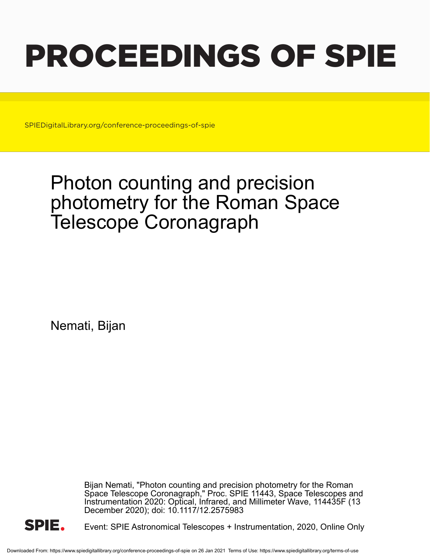# PROCEEDINGS OF SPIE

SPIEDigitalLibrary.org/conference-proceedings-of-spie

## Photon counting and precision photometry for the Roman Space Telescope Coronagraph

Nemati, Bijan

Bijan Nemati, "Photon counting and precision photometry for the Roman Space Telescope Coronagraph," Proc. SPIE 11443, Space Telescopes and Instrumentation 2020: Optical, Infrared, and Millimeter Wave, 114435F (13 December 2020); doi: 10.1117/12.2575983



Event: SPIE Astronomical Telescopes + Instrumentation, 2020, Online Only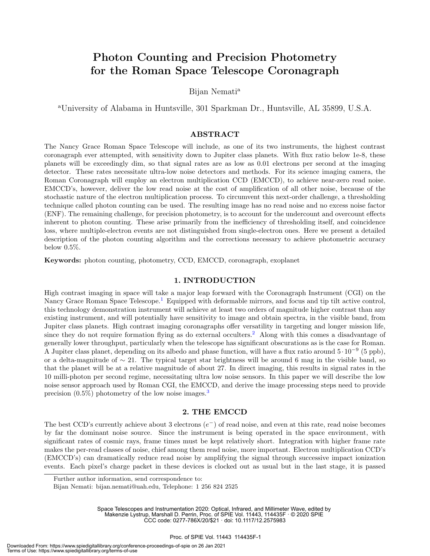### Photon Counting and Precision Photometry for the Roman Space Telescope Coronagraph

Bijan Nemati<sup>a</sup>

<sup>a</sup>University of Alabama in Huntsville, 301 Sparkman Dr., Huntsville, AL 35899, U.S.A.

#### ABSTRACT

The Nancy Grace Roman Space Telescope will include, as one of its two instruments, the highest contrast coronagraph ever attempted, with sensitivity down to Jupiter class planets. With flux ratio below 1e-8, these planets will be exceedingly dim, so that signal rates are as low as 0.01 electrons per second at the imaging detector. These rates necessitate ultra-low noise detectors and methods. For its science imaging camera, the Roman Coronagraph will employ an electron multiplication CCD (EMCCD), to achieve near-zero read noise. EMCCD's, however, deliver the low read noise at the cost of amplification of all other noise, because of the stochastic nature of the electron multiplication process. To circumvent this next-order challenge, a thresholding technique called photon counting can be used. The resulting image has no read noise and no excess noise factor (ENF). The remaining challenge, for precision photometry, is to account for the undercount and overcount effects inherent to photon counting. These arise primarily from the inefficiency of thresholding itself, and coincidence loss, where multiple-electron events are not distinguished from single-electron ones. Here we present a detailed description of the photon counting algorithm and the corrections necessary to achieve photometric accuracy below 0.5%.

Keywords: photon counting, photometry, CCD, EMCCD, coronagraph, exoplanet

#### 1. INTRODUCTION

High contrast imaging in space will take a major leap forward with the Coronagraph Instrument (CGI) on the Nancy Grace Roman Space Telescope.<sup>1</sup> Equipped with deformable mirrors, and focus and tip tilt active control, this technology demonstration instrument will achieve at least two orders of magnitude higher contrast than any existing instrument, and will potentially have sensitivity to image and obtain spectra, in the visible band, from Jupiter class planets. High contrast imaging coronagraphs offer versatility in targeting and longer mission life, since they do not require formation flying as do external occulters.<sup>2</sup> Along with this comes a disadvantage of generally lower throughput, particularly when the telescope has significant obscurations as is the case for Roman. A Jupiter class planet, depending on its albedo and phase function, will have a flux ratio around  $5 \cdot 10^{-9}$  (5 ppb), or a delta-magnitude of  $\sim 21$ . The typical target star brightness will be around 6 mag in the visible band, so that the planet will be at a relative magnitude of about 27. In direct imaging, this results in signal rates in the 10 milli-photon per second regime, necessitating ultra low noise sensors. In this paper we will describe the low noise sensor approach used by Roman CGI, the EMCCD, and derive the image processing steps need to provide precision  $(0.5\%)$  photometry of the low noise images.<sup>3</sup>

#### 2. THE EMCCD

The best CCD's currently achieve about 3 electrons  $(e^-)$  of read noise, and even at this rate, read noise becomes by far the dominant noise source. Since the instrument is being operated in the space environment, with significant rates of cosmic rays, frame times must be kept relatively short. Integration with higher frame rate makes the per-read classes of noise, chief among them read noise, more important. Electron multiplication CCD's (EMCCD's) can dramatically reduce read noise by amplifying the signal through successive impact ionization events. Each pixel's charge packet in these devices is clocked out as usual but in the last stage, it is passed

Space Telescopes and Instrumentation 2020: Optical, Infrared, and Millimeter Wave, edited by Makenzie Lystrup, Marshall D. Perrin, Proc. of SPIE Vol. 11443, 114435F · © 2020 SPIE

CCC code: 0277-786X/20/\$21 · doi: 10.1117/12.2575983

Further author information, send correspondence to:

Bijan Nemati: bijan.nemati@uah.edu, Telephone: 1 256 824 2525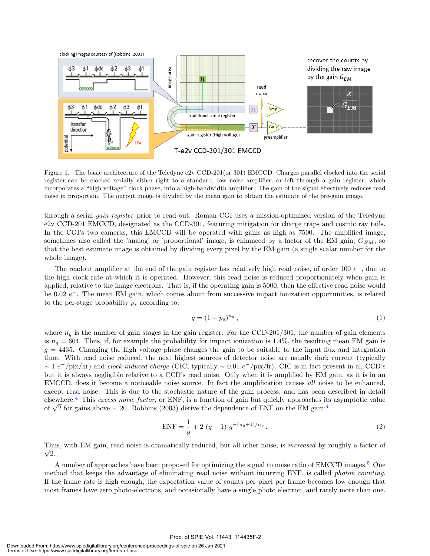

Figure 1. The basic architecture of the Teledyne e2v CCD-201(or 301) EMCCD. Charges parallel clocked into the serial register can be clocked serially either right to a standard, low noise amplifier, or left through a gain register, which incorporates a "high voltage" clock phase, into a high-bandwidth amplifier. The gain of the signal effectively reduces read noise in proportion. The output image is divided by the mean gain to obtain the estimate of the pre-gain image.

through a serial gain register prior to read out. Roman CGI uses a mission-optimized version of the Teledyne e2v CCD-201 EMCCD, designated as the CCD-301, featuring mitigation for charge traps and cosmic ray tails. In the CGI's two cameras, this EMCCD will be operated with gains as high as 7500. The amplified image, sometimes also called the 'analog' or 'proportional' image, is enhanced by a factor of the EM gain,  $G_{EM}$ , so that the best estimate image is obtained by dividing every pixel by the EM gain (a single scalar number for the whole image).

The readout amplifier at the end of the gain register has relatively high read noise, of order 100  $e^-$ , due to the high clock rate at which it is operated. However, this read noise is reduced proportionately when gain is applied, relative to the image electrons. That is, if the operating gain is 5000, then the effective read noise would be 0.02  $e^-$ . The mean EM gain, which comes about from successive impact ionization opportunities, is related to the per-stage probability  $p_s$  according to:<sup>4</sup>

$$
g = (1 + p_s)^{n_g},\tag{1}
$$

where  $n<sub>g</sub>$  is the number of gain stages in the gain register. For the CCD-201/301, the number of gain elements is  $n_q = 604$ . Thus, if, for example the probability for impact ionization is 1.4%, the resulting mean EM gain is  $g = 4435$ . Changing the high voltage phase changes the gain to be suitable to the input flux and integration time. With read noise reduced, the next highest sources of detector noise are usually dark current (typically  $\sim 1 e^{-}/\text{pix/hr}$ ) and clock-induced charge (CIC, typically  $\sim 0.01 e^{-}/\text{pix/fr}$ ). CIC is in fact present in all CCD's but it is always negligible relative to a CCD's read noise. Only when it is amplified by EM gain, as it is in an EMCCD, does it become a noticeable noise source. In fact the amplification causes all noise to be enhanced, except read noise. This is due to the stochastic nature of the gain process, and has been described in detail elsewhere.<sup>4</sup> This excess noise factor, or ENF, is a function of gain but quickly approaches its asymptotic value elsewhere. This *excess noise jactor*, or ENF, is a function of gain but quickly approaches it<br>of  $\sqrt{2}$  for gains above ~ 20. Robbins (2003) derive the dependence of ENF on the EM gain:<sup>4</sup>

$$
ENF = \frac{1}{g} + 2(g - 1) g^{-(n_g + 1)/n_g}.
$$
\n(2)

Thus, with EM gain, read noise is dramatically reduced, but all other noise, is *increased* by roughly a factor of  $\sqrt{2}$ .

A number of approaches have been proposed for optimizing the signal to noise ratio of EMCCD images.<sup>5</sup> One method that keeps the advantage of eliminating read noise without incurring ENF, is called photon counting. If the frame rate is high enough, the expectation value of counts per pixel per frame becomes low enough that most frames have zero photo-electrons, and occasionally have a single photo electron, and rarely more than one.

#### Proc. of SPIE Vol. 11443 114435F-2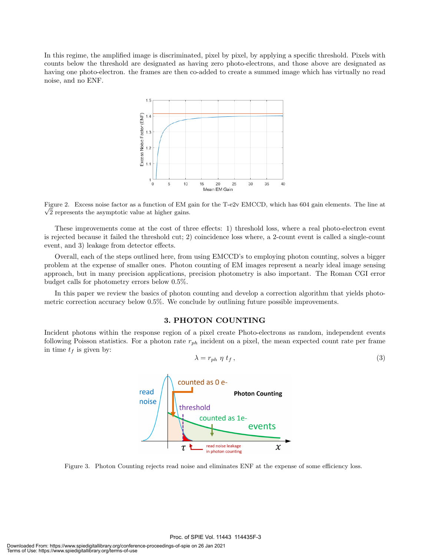In this regime, the amplified image is discriminated, pixel by pixel, by applying a specific threshold. Pixels with counts below the threshold are designated as having zero photo-electrons, and those above are designated as having one photo-electron. the frames are then co-added to create a summed image which has virtually no read noise, and no ENF.



Figure 2. Excess noise factor as a function of EM gain for the T-e2v EMCCD, which has 604 gain elements. The line at √  $\sqrt{2}$  represents the asymptotic value at higher gains.

These improvements come at the cost of three effects: 1) threshold loss, where a real photo-electron event is rejected because it failed the threshold cut; 2) coincidence loss where, a 2-count event is called a single-count event, and 3) leakage from detector effects.

Overall, each of the steps outlined here, from using EMCCD's to employing photon counting, solves a bigger problem at the expense of smaller ones. Photon counting of EM images represent a nearly ideal image sensing approach, but in many precision applications, precision photometry is also important. The Roman CGI error budget calls for photometry errors below 0.5%.

In this paper we review the basics of photon counting and develop a correction algorithm that yields photometric correction accuracy below 0.5%. We conclude by outlining future possible improvements.

#### 3. PHOTON COUNTING

Incident photons within the response region of a pixel create Photo-electrons as random, independent events following Poisson statistics. For a photon rate  $r_{ph}$  incident on a pixel, the mean expected count rate per frame in time  $t_f$  is given by:

$$
\lambda = r_{ph} \eta t_f, \qquad (3)
$$



Figure 3. Photon Counting rejects read noise and eliminates ENF at the expense of some efficiency loss.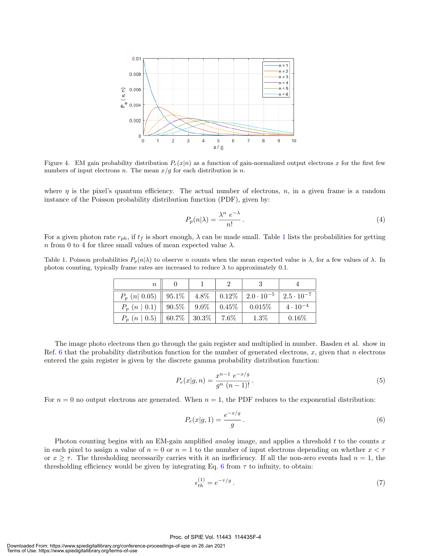

Figure 4. EM gain probability distribution  $P_e(x|n)$  as a function of gain-normalized output electrons x for the first few numbers of input electrons n. The mean  $x/g$  for each distribution is n.

where  $\eta$  is the pixel's quantum efficiency. The actual number of electrons,  $n$ , in a given frame is a random instance of the Poisson probability distribution function (PDF), given by:

$$
P_p(n|\lambda) = \frac{\lambda^n e^{-\lambda}}{n!} \,. \tag{4}
$$

For a given photon rate  $r_{ph}$ , if  $t_f$  is short enough,  $\lambda$  can be made small. Table 1 lists the probabilities for getting n from 0 to 4 for three small values of mean expected value  $\lambda$ .

Table 1. Poisson probabilities  $P_p(n|\lambda)$  to observe n counts when the mean expected value is  $\lambda$ , for a few values of  $\lambda$ . In photon counting, typically frame rates are increased to reduce  $\lambda$  to approximately 0.1.

| $\it{n}$                                                                                              |  |         |                   |
|-------------------------------------------------------------------------------------------------------|--|---------|-------------------|
| $P_n$ (n  0.05)    95.1%   4.8%   0.12%   2.0 $\cdot$ 10 <sup>-5</sup>   2.5 $\cdot$ 10 <sup>-7</sup> |  |         |                   |
| $P_p(n \mid 0.1)$   90.5%   9.0%   0.45%   0.015%                                                     |  |         | $4 \cdot 10^{-4}$ |
| $P_p(n \mid 0.5) \parallel 60.7\% \parallel 30.3\% \parallel 7.6\%$                                   |  | $1.3\%$ | $0.16\%$          |

The image photo electrons then go through the gain register and multiplied in number. Basden et al. show in Ref. 6 that the probability distribution function for the number of generated electrons, x, given that n electrons entered the gain register is given by the discrete gamma probability distribution function:

$$
P_e(x|g,n) = \frac{x^{n-1} e^{-x/g}}{g^n (n-1)!}.
$$
\n(5)

For  $n = 0$  no output electrons are generated. When  $n = 1$ , the PDF reduces to the exponential distribution:

$$
P_e(x|g,1) = \frac{e^{-x/g}}{g} \,. \tag{6}
$$

Photon counting begins with an EM-gain amplified *analog* image, and applies a threshold  $t$  to the counts  $x$ in each pixel to assign a value of  $n = 0$  or  $n = 1$  to the number of input electrons depending on whether  $x < \tau$ or  $x \geq \tau$ . The thresholding necessarily carries with it an inefficiency. If all the non-zero events had  $n = 1$ , the thresholding efficiency would be given by integrating Eq. 6 from  $\tau$  to infinity, to obtain:

$$
\epsilon_{th}^{(1)} = e^{-\tau/g} \,. \tag{7}
$$

#### Proc. of SPIE Vol. 11443 114435F-4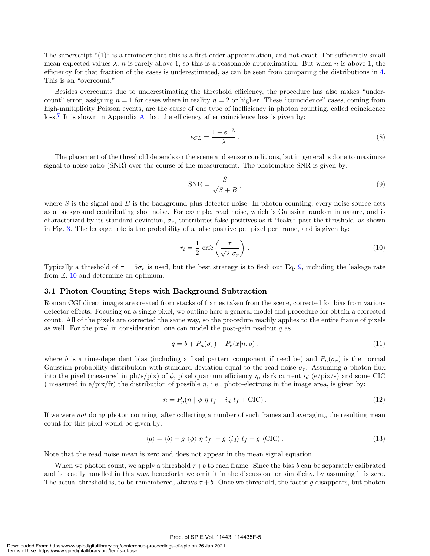The superscript "(1)" is a reminder that this is a first order approximation, and not exact. For sufficiently small mean expected values  $\lambda$ , n is rarely above 1, so this is a reasonable approximation. But when n is above 1, the efficiency for that fraction of the cases is underestimated, as can be seen from comparing the distributions in 4. This is an "overcount."

Besides overcounts due to underestimating the threshold efficiency, the procedure has also makes "undercount" error, assigning  $n = 1$  for cases where in reality  $n = 2$  or higher. These "coincidence" cases, coming from high-multiplicity Poisson events, are the cause of one type of inefficiency in photon counting, called coincidence loss.<sup>7</sup> It is shown in Appendix A that the efficiency after coincidence loss is given by:

$$
\epsilon_{CL} = \frac{1 - e^{-\lambda}}{\lambda} \,. \tag{8}
$$

The placement of the threshold depends on the scene and sensor conditions, but in general is done to maximize signal to noise ratio (SNR) over the course of the measurement. The photometric SNR is given by:

$$
SNR = \frac{S}{\sqrt{S+B}},\tag{9}
$$

where  $S$  is the signal and  $B$  is the background plus detector noise. In photon counting, every noise source acts as a background contributing shot noise. For example, read noise, which is Gaussian random in nature, and is characterized by its standard deviation,  $\sigma_r$ , contributes false positives as it "leaks" past the threshold, as shown in Fig. 3. The leakage rate is the probability of a false positive per pixel per frame, and is given by:

$$
r_l = \frac{1}{2} \operatorname{erfc}\left(\frac{\tau}{\sqrt{2} \sigma_r}\right). \tag{10}
$$

Typically a threshold of  $\tau = 5\sigma_r$  is used, but the best strategy is to flesh out Eq. 9, including the leakage rate from E. 10 and determine an optimum.

#### 3.1 Photon Counting Steps with Background Subtraction

Roman CGI direct images are created from stacks of frames taken from the scene, corrected for bias from various detector effects. Focusing on a single pixel, we outline here a general model and procedure for obtain a corrected count. All of the pixels are corrected the same way, so the procedure readily applies to the entire frame of pixels as well. For the pixel in consideration, one can model the post-gain readout  $q$  as

$$
q = b + P_n(\sigma_r) + P_e(x|n, g). \tag{11}
$$

where b is a time-dependent bias (including a fixed pattern component if need be) and  $P_n(\sigma_r)$  is the normal Gaussian probability distribution with standard deviation equal to the read noise  $\sigma_r$ . Assuming a photon flux into the pixel (measured in ph/s/pix) of  $\phi$ , pixel quantum efficiency  $\eta$ , dark current  $i_d$  (e/pix/s) and some CIC ( measured in  $e$ /pix/fr) the distribution of possible n, i.e., photo-electrons in the image area, is given by:

$$
n = P_p(n \mid \phi \eta t_f + i_d t_f + \text{CIC}). \tag{12}
$$

If we were not doing photon counting, after collecting a number of such frames and averaging, the resulting mean count for this pixel would be given by:

$$
\langle q \rangle = \langle b \rangle + g \langle \phi \rangle \eta \ t_f + g \langle i_d \rangle \ t_f + g \langle \text{CIC} \rangle. \tag{13}
$$

Note that the read noise mean is zero and does not appear in the mean signal equation.

When we photon count, we apply a threshold  $\tau + b$  to each frame. Since the bias b can be separately calibrated and is readily handled in this way, henceforth we omit it in the discussion for simplicity, by assuming it is zero. The actual threshold is, to be remembered, always  $\tau + b$ . Once we threshold, the factor g disappears, but photon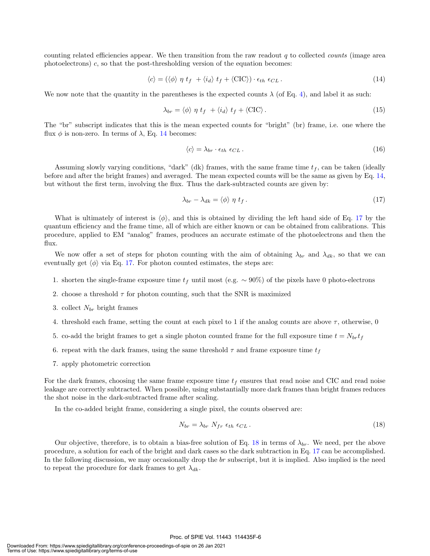counting related efficiencies appear. We then transition from the raw readout q to collected *counts* (image area photoelectrons) c, so that the post-thresholding version of the equation becomes:

$$
\langle c \rangle = (\langle \phi \rangle \eta t_f + \langle i_d \rangle t_f + \langle \text{CIC} \rangle) \cdot \epsilon_{th} \epsilon_{CL} \,. \tag{14}
$$

We now note that the quantity in the parentheses is the expected counts  $\lambda$  (of Eq. 4), and label it as such:

$$
\lambda_{br} = \langle \phi \rangle \eta \ t_f + \langle i_d \rangle \ t_f + \langle \text{CIC} \rangle. \tag{15}
$$

The "br" subscript indicates that this is the mean expected counts for "bright" (br) frame, i.e. one where the flux  $\phi$  is non-zero. In terms of  $\lambda$ , Eq. 14 becomes:

$$
\langle c \rangle = \lambda_{br} \cdot \epsilon_{th} \epsilon_{CL} \,. \tag{16}
$$

Assuming slowly varying conditions, "dark" (dk) frames, with the same frame time  $t_f$ , can be taken (ideally before and after the bright frames) and averaged. The mean expected counts will be the same as given by Eq. 14, but without the first term, involving the flux. Thus the dark-subtracted counts are given by:

$$
\lambda_{br} - \lambda_{dk} = \langle \phi \rangle \eta \ t_f \,. \tag{17}
$$

What is ultimately of interest is  $\langle \phi \rangle$ , and this is obtained by dividing the left hand side of Eq. 17 by the quantum efficiency and the frame time, all of which are either known or can be obtained from calibrations. This procedure, applied to EM "analog" frames, produces an accurate estimate of the photoelectrons and then the flux.

We now offer a set of steps for photon counting with the aim of obtaining  $\lambda_{br}$  and  $\lambda_{dk}$ , so that we can eventually get  $\langle \phi \rangle$  via Eq. 17. For photon counted estimates, the steps are:

- 1. shorten the single-frame exposure time  $t_f$  until most (e.g. ~ 90%) of the pixels have 0 photo-electrons
- 2. choose a threshold  $\tau$  for photon counting, such that the SNR is maximized
- 3. collect  $N_{br}$  bright frames
- 4. threshold each frame, setting the count at each pixel to 1 if the analog counts are above  $\tau$ , otherwise, 0
- 5. co-add the bright frames to get a single photon counted frame for the full exposure time  $t = N_{br}t_f$
- 6. repeat with the dark frames, using the same threshold  $\tau$  and frame exposure time  $t_f$
- 7. apply photometric correction

For the dark frames, choosing the same frame exposure time  $t_f$  ensures that read noise and CIC and read noise leakage are correctly subtracted. When possible, using substantially more dark frames than bright frames reduces the shot noise in the dark-subtracted frame after scaling.

In the co-added bright frame, considering a single pixel, the counts observed are:

$$
N_{br} = \lambda_{br} N_{fr} \epsilon_{th} \epsilon_{CL}. \tag{18}
$$

Our objective, therefore, is to obtain a bias-free solution of Eq. 18 in terms of  $\lambda_{br}$ . We need, per the above procedure, a solution for each of the bright and dark cases so the dark subtraction in Eq. 17 can be accomplished. In the following discussion, we may occasionally drop the br subscript, but it is implied. Also implied is the need to repeat the procedure for dark frames to get  $\lambda_{dk}$ .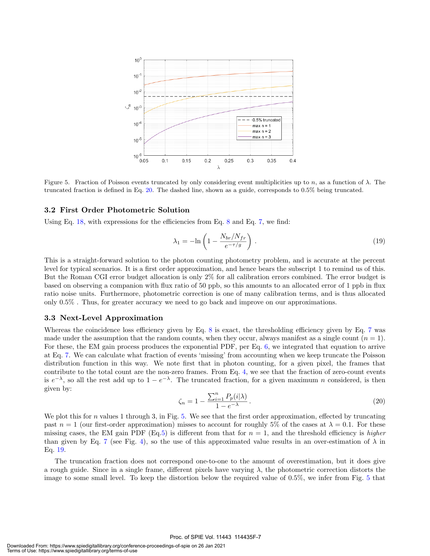

Figure 5. Fraction of Poisson events truncated by only considering event multiplicities up to n, as a function of  $\lambda$ . The truncated fraction is defined in Eq. 20. The dashed line, shown as a guide, corresponds to 0.5% being truncated.

#### 3.2 First Order Photometric Solution

Using Eq. 18, with expressions for the efficiencies from Eq. 8 and Eq. 7, we find:

$$
\lambda_1 = -\ln\left(1 - \frac{N_{br}/N_{fr}}{e^{-\tau/g}}\right). \tag{19}
$$

This is a straight-forward solution to the photon counting photometry problem, and is accurate at the percent level for typical scenarios. It is a first order approximation, and hence bears the subscript 1 to remind us of this. But the Roman CGI error budget allocation is only 2% for all calibration errors combined. The error budget is based on observing a companion with flux ratio of 50 ppb, so this amounts to an allocated error of 1 ppb in flux ratio noise units. Furthermore, photometric correction is one of many calibration terms, and is thus allocated only 0.5% . Thus, for greater accuracy we need to go back and improve on our approximations.

#### 3.3 Next-Level Approximation

Whereas the coincidence loss efficiency given by Eq. 8 is exact, the thresholding efficiency given by Eq. 7 was made under the assumption that the random counts, when they occur, always manifest as a single count  $(n = 1)$ . For these, the EM gain process produces the exponential PDF, per Eq. 6, we integrated that equation to arrive at Eq. 7. We can calculate what fraction of events 'missing' from accounting when we keep truncate the Poisson distribution function in this way. We note first that in photon counting, for a given pixel, the frames that contribute to the total count are the non-zero frames. From Eq. 4, we see that the fraction of zero-count events is  $e^{-\lambda}$ , so all the rest add up to  $1-e^{-\lambda}$ . The truncated fraction, for a given maximum n considered, is then given by:

$$
\zeta_n = 1 - \frac{\sum_{i=1}^n P_p(i|\lambda)}{1 - e^{-\lambda}}.
$$
\n(20)

We plot this for  $n$  values 1 through 3, in Fig. 5. We see that the first order approximation, effected by truncating past  $n = 1$  (our first-order approximation) misses to account for roughly 5% of the cases at  $\lambda = 0.1$ . For these missing cases, the EM gain PDF (Eq.5) is different from that for  $n = 1$ , and the threshold efficiency is higher than given by Eq. 7 (see Fig. 4), so the use of this approximated value results in an over-estimation of  $\lambda$  in Eq. 19.

The truncation fraction does not correspond one-to-one to the amount of overestimation, but it does give a rough guide. Since in a single frame, different pixels have varying  $\lambda$ , the photometric correction distorts the image to some small level. To keep the distortion below the required value of 0.5%, we infer from Fig. 5 that

#### Proc. of SPIE Vol. 11443 114435F-7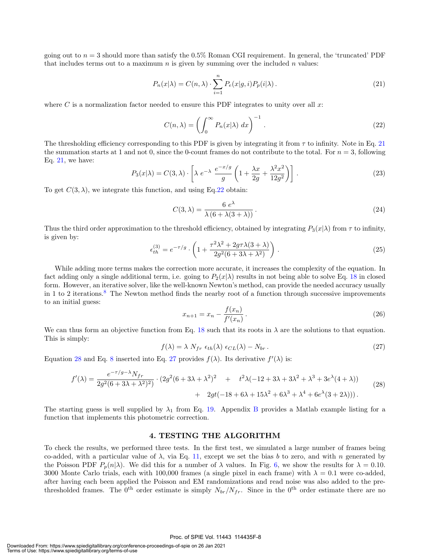going out to  $n = 3$  should more than satisfy the 0.5% Roman CGI requirement. In general, the 'truncated' PDF that includes terms out to a maximum  $n$  is given by summing over the included  $n$  values:

$$
P_n(x|\lambda) = C(n,\lambda) \cdot \sum_{i=1}^n P_e(x|g,i) P_p(i|\lambda).
$$
\n(21)

where  $C$  is a normalization factor needed to ensure this PDF integrates to unity over all  $x$ :

$$
C(n,\lambda) = \left(\int_0^\infty P_n(x|\lambda) \, dx\right)^{-1}.\tag{22}
$$

The thresholding efficiency corresponding to this PDF is given by integrating it from  $\tau$  to infinity. Note in Eq. 21 the summation starts at 1 and not 0, since the 0-count frames do not contribute to the total. For  $n = 3$ , following Eq. 21, we have:

$$
P_3(x|\lambda) = C(3,\lambda) \cdot \left[ \lambda e^{-\lambda} \frac{e^{-x/g}}{g} \left( 1 + \frac{\lambda x}{2g} + \frac{\lambda^2 x^2}{12g^2} \right) \right].
$$
 (23)

To get  $C(3, \lambda)$ , we integrate this function, and using Eq.22 obtain:

$$
C(3,\lambda) = \frac{6 e^{\lambda}}{\lambda (6 + \lambda (3 + \lambda))}.
$$
 (24)

Thus the third order approximation to the threshold efficiency, obtained by integrating  $P_3(x|\lambda)$  from  $\tau$  to infinity, is given by:

$$
\epsilon_{th}^{(3)} = e^{-\tau/g} \cdot \left( 1 + \frac{\tau^2 \lambda^2 + 2g\tau \lambda (3 + \lambda)}{2g^2 (6 + 3\lambda + \lambda^2)} \right) . \tag{25}
$$

While adding more terms makes the correction more accurate, it increases the complexity of the equation. In fact adding only a single additional term, i.e. going to  $P_2(x|\lambda)$  results in not being able to solve Eq. 18 in closed form. However, an iterative solver, like the well-known Newton's method, can provide the needed accuracy usually in 1 to 2 iterations.<sup>8</sup> The Newton method finds the nearby root of a function through successive improvements to an initial guess:

$$
x_{n+1} = x_n - \frac{f(x_n)}{f'(x_n)}.
$$
\n(26)

We can thus form an objective function from Eq. 18 such that its roots in  $\lambda$  are the solutions to that equation. This is simply:

$$
f(\lambda) = \lambda N_{fr} \epsilon_{th}(\lambda) \epsilon_{CL}(\lambda) - N_{br}.
$$
\n(27)

Equation 28 and Eq. 8 inserted into Eq. 27 provides  $f(\lambda)$ . Its derivative  $f'(\lambda)$  is:

$$
f'(\lambda) = \frac{e^{-\tau/g - \lambda} N_{fr}}{2g^2 (6 + 3\lambda + \lambda^2)^2} \cdot (2g^2 (6 + 3\lambda + \lambda^2)^2 + t^2 \lambda (-12 + 3\lambda + 3\lambda^2 + \lambda^3 + 3e^{\lambda} (4 + \lambda)) + 2gt(-18 + 6\lambda + 15\lambda^2 + 6\lambda^3 + \lambda^4 + 6e^{\lambda} (3 + 2\lambda))).
$$
\n(28)

The starting guess is well supplied by  $\lambda_1$  from Eq. 19. Appendix B provides a Matlab example listing for a function that implements this photometric correction.

#### 4. TESTING THE ALGORITHM

To check the results, we performed three tests. In the first test, we simulated a large number of frames being co-added, with a particular value of  $\lambda$ , via Eq. 11, except we set the bias b to zero, and with n generated by the Poisson PDF  $P_p(n|\lambda)$ . We did this for a number of  $\lambda$  values. In Fig. 6, we show the results for  $\lambda = 0.10$ . 3000 Monte Carlo trials, each with 100,000 frames (a single pixel in each frame) with  $\lambda = 0.1$  were co-added, after having each been applied the Poisson and EM randomizations and read noise was also added to the prethresholded frames. The 0<sup>th</sup> order estimate is simply  $N_{br}/N_{fr}$ . Since in the 0<sup>th</sup> order estimate there are no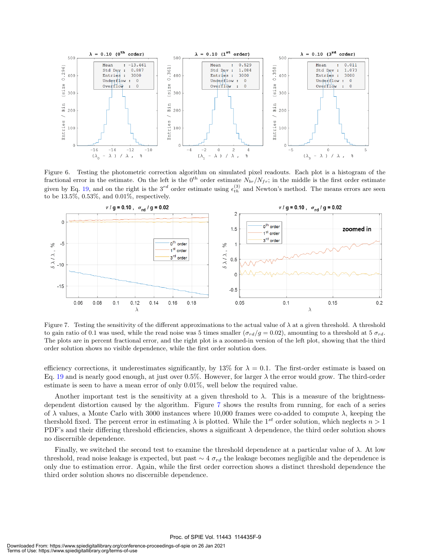

Figure 6. Testing the photometric correction algorithm on simulated pixel readouts. Each plot is a histogram of the fractional error in the estimate. On the left is the 0<sup>th</sup> order estimate  $N_{br}/N_{fr}$ ; in the middle is the first order estimate given by Eq. 19, and on the right is the  $3^{rd}$  order estimate using  $\epsilon_{th}^{(3)}$  and Newton's method. The means errors are seen to be 13.5%, 0.53%, and 0.01%, respectively.



Figure 7. Testing the sensitivity of the different approximations to the actual value of  $\lambda$  at a given threshold. A threshold to gain ratio of 0.1 was used, while the read noise was 5 times smaller  $(\sigma_{rd}/g = 0.02)$ , amounting to a threshold at 5  $\sigma_{rd}$ . The plots are in percent fractional error, and the right plot is a zoomed-in version of the left plot, showing that the third order solution shows no visible dependence, while the first order solution does.

efficiency corrections, it underestimates significantly, by 13% for  $\lambda = 0.1$ . The first-order estimate is based on Eq. 19 and is nearly good enough, at just over 0.5%. However, for larger  $\lambda$  the error would grow. The third-order estimate is seen to have a mean error of only 0.01%, well below the required value.

Another important test is the sensitivity at a given threshold to  $\lambda$ . This is a measure of the brightnessdependent distortion caused by the algorithm. Figure 7 shows the results from running, for each of a series of  $\lambda$  values, a Monte Carlo with 3000 instances where 10,000 frames were co-added to compute  $\lambda$ , keeping the thershold fixed. The percent error in estimating  $\lambda$  is plotted. While the 1<sup>st</sup> order solution, which neglects  $n > 1$ PDF's and their differing threshold efficiencies, shows a significant  $\lambda$  dependence, the third order solution shows no discernible dependence.

Finally, we switched the second test to examine the threshold dependence at a particular value of  $\lambda$ . At low threshold, read noise leakage is expected, but past  $\sim 4 \sigma_{rd}$  the leakage becomes negligible and the dependence is only due to estimation error. Again, while the first order correction shows a distinct threshold dependence the third order solution shows no discernible dependence.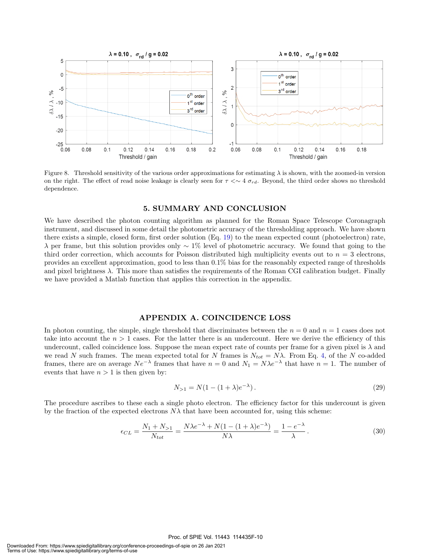

Figure 8. Threshold sensitivity of the various order approximations for estimating  $\lambda$  is shown, with the zoomed-in version on the right. The effect of read noise leakage is clearly seen for  $\tau \ll 4 \sigma_{rd}$ . Beyond, the third order shows no threshold dependence.

#### 5. SUMMARY AND CONCLUSION

We have described the photon counting algorithm as planned for the Roman Space Telescope Coronagraph instrument, and discussed in some detail the photometric accuracy of the thresholding approach. We have shown there exists a simple, closed form, first order solution (Eq. 19) to the mean expected count (photoelectron) rate,  $\lambda$  per frame, but this solution provides only ~ 1% level of photometric accuracy. We found that going to the third order correction, which accounts for Poisson distributed high multiplicity events out to  $n = 3$  electrons, provides an excellent approximation, good to less than 0.1% bias for the reasonably expected range of thresholds and pixel brightness  $\lambda$ . This more than satisfies the requirements of the Roman CGI calibration budget. Finally we have provided a Matlab function that applies this correction in the appendix.

#### APPENDIX A. COINCIDENCE LOSS

In photon counting, the simple, single threshold that discriminates between the  $n = 0$  and  $n = 1$  cases does not take into account the  $n > 1$  cases. For the latter there is an undercount. Here we derive the efficiency of this undercount, called coincidence loss. Suppose the mean expect rate of counts per frame for a given pixel is  $\lambda$  and we read N such frames. The mean expected total for N frames is  $N_{tot} = N\lambda$ . From Eq. 4, of the N co-added frames, there are on average  $Ne^{-\lambda}$  frames that have  $n = 0$  and  $N_1 = N\lambda e^{-\lambda}$  that have  $n = 1$ . The number of events that have  $n > 1$  is then given by:

$$
N_{>1} = N(1 - (1 + \lambda)e^{-\lambda}).
$$
\n(29)

The procedure ascribes to these each a single photo electron. The efficiency factor for this undercount is given by the fraction of the expected electrons  $N\lambda$  that have been accounted for, using this scheme:

$$
\epsilon_{CL} = \frac{N_1 + N_{>1}}{N_{tot}} = \frac{N\lambda e^{-\lambda} + N(1 - (1 + \lambda)e^{-\lambda})}{N\lambda} = \frac{1 - e^{-\lambda}}{\lambda}.
$$
\n(30)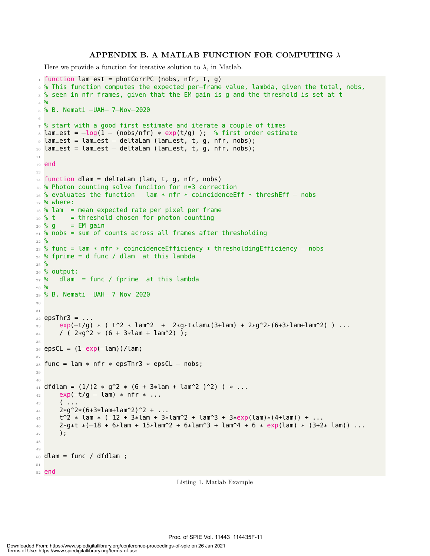#### APPENDIX B. A MATLAB FUNCTION FOR COMPUTING  $\lambda$

Here we provide a function for iterative solution to  $\lambda$ , in Matlab.

```
_1 function lam_est = photCorrPC (nobs, nfr, t, g)
2 % This function computes the expected per−frame value, lambda, given the total, nobs,
3 % seen in nfr frames, given that the EM gain is g and the threshold is set at t
4 %
5 % B. Nemati −UAH− 7−Nov−2020
6
7 % start with a good first estimate and iterate a couple of times
8 lam_est = -\log(1 - \frac{\log(1 + \exp(t/g))}{\log(1 - \exp(t/g)))} % first order estimate
9 lam_est = lam_est − deltaLam (lam_est, t, g, nfr, nobs);
10 lam_est = lam_est − deltaLam (lam_est, t, g, nfr, nobs);
11
12 end
13
_{14} function dlam = deltaLam (lam, t, g, nfr, nobs)
15 % Photon counting solve funciton for n=3 correction
16 % evaluates the function lam * nfr * coincidenceEff * threshEff − nobs
17 \, % where:
18 % lam = mean expected rate per pixel per frame
_{19} % t = threshold chosen for photon counting
_{20} % g = EM gain
_{21} % nobs = sum of counts across all frames after thresholding
22 %
23 % func = lam * nfr * coincidenceEfficiency * thresholdingEfficiency – nobs
_{24} % fprime = d func / dlam at this lambda
25 \frac{9}{6}26 % output:
27 % dlam = func / fprime at this lambda
28 %
29 % B. Nemati −UAH− 7−Nov−2020
30
31
32 epsThr3 = \dots\text{exp}(-t/g) \times (t^2 \times \text{lam}^2 + 2 \times g \times t \times \text{lam}^2 + 3 \times g^2 \times (6+3 \times \text{lam}^2)) ...
34 / ( 2*q^2 \times (6 + 3*lam + lam^2) );
35
36 epsCL = (1–exp(-lam))/lam;37
38 func = lam * nfr * epsThr3 * epsCL - nobs;
39
40
41 dfdlam = (1/(2 \times q^2 \times (6 + 3 \times \text{lam} + \text{lam}^2)^2)) \times ...42 exp(-t/g – lam) * nfr * ...
43 ( ...
44 2*g^2*(6+3*lam+lam^2)^2 + ...
45 t^2 * lam * (−12 + 3*lam + 3*lam^2 + lam^3 + 3*exp(lam)*(4+lam)) + ...
46 2*g*t *(−18 + 6*lam + 15*lam^2 + 6*lam^3 + lam^4 + 6 * exp(lam) * (3+2* lam)) ...
47 );
48
49
_{50} dlam = func / dfdlam ;
51
52 end
```
Listing 1. Matlab Example